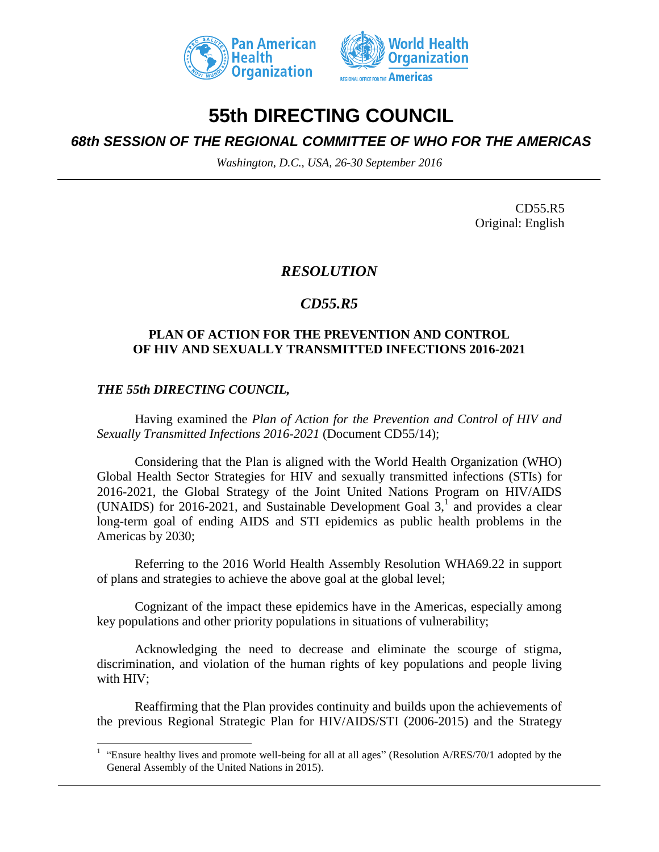



# **55th DIRECTING COUNCIL**

## *68th SESSION OF THE REGIONAL COMMITTEE OF WHO FOR THE AMERICAS*

*Washington, D.C., USA, 26-30 September 2016*

CD55.R5 Original: English

## *RESOLUTION*

## *CD55.R5*

#### **PLAN OF ACTION FOR THE PREVENTION AND CONTROL OF HIV AND SEXUALLY TRANSMITTED INFECTIONS 2016-2021**

### *THE 55th DIRECTING COUNCIL,*

 $\overline{\phantom{a}}$ 

Having examined the *Plan of Action for the Prevention and Control of HIV and Sexually Transmitted Infections 2016-2021* (Document CD55/14);

Considering that the Plan is aligned with the World Health Organization (WHO) Global Health Sector Strategies for HIV and sexually transmitted infections (STIs) for 2016-2021, the Global Strategy of the Joint United Nations Program on HIV/AIDS (UNAIDS) for 2016-2021, and Sustainable Development Goal  $3<sup>1</sup>$ , and provides a clear long-term goal of ending AIDS and STI epidemics as public health problems in the Americas by 2030;

Referring to the 2016 World Health Assembly Resolution WHA69.22 in support of plans and strategies to achieve the above goal at the global level;

Cognizant of the impact these epidemics have in the Americas, especially among key populations and other priority populations in situations of vulnerability;

Acknowledging the need to decrease and eliminate the scourge of stigma, discrimination, and violation of the human rights of key populations and people living with HIV;

Reaffirming that the Plan provides continuity and builds upon the achievements of the previous Regional Strategic Plan for HIV/AIDS/STI (2006-2015) and the Strategy

<sup>&</sup>lt;sup>1</sup> "Ensure healthy lives and promote well-being for all at all ages" (Resolution A/RES/70/1 adopted by the General Assembly of the United Nations in 2015).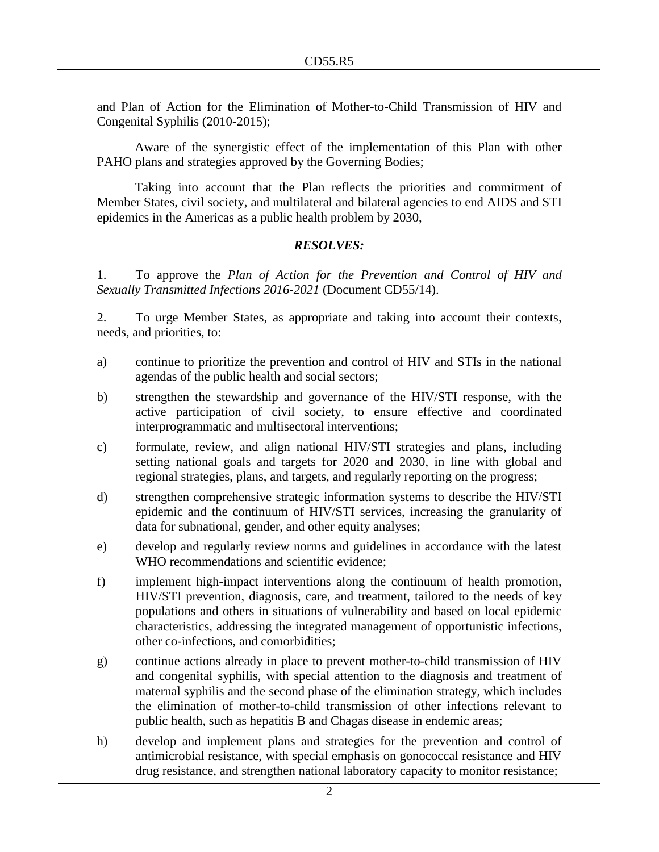and Plan of Action for the Elimination of Mother-to-Child Transmission of HIV and Congenital Syphilis (2010-2015);

Aware of the synergistic effect of the implementation of this Plan with other PAHO plans and strategies approved by the Governing Bodies;

Taking into account that the Plan reflects the priorities and commitment of Member States, civil society, and multilateral and bilateral agencies to end AIDS and STI epidemics in the Americas as a public health problem by 2030,

#### *RESOLVES:*

1. To approve the *Plan of Action for the Prevention and Control of HIV and Sexually Transmitted Infections 2016-2021* (Document CD55/14).

2. To urge Member States, as appropriate and taking into account their contexts, needs, and priorities, to:

- a) continue to prioritize the prevention and control of HIV and STIs in the national agendas of the public health and social sectors;
- b) strengthen the stewardship and governance of the HIV/STI response, with the active participation of civil society, to ensure effective and coordinated interprogrammatic and multisectoral interventions;
- c) formulate, review, and align national HIV/STI strategies and plans, including setting national goals and targets for 2020 and 2030, in line with global and regional strategies, plans, and targets, and regularly reporting on the progress;
- d) strengthen comprehensive strategic information systems to describe the HIV/STI epidemic and the continuum of HIV/STI services, increasing the granularity of data for subnational, gender, and other equity analyses;
- e) develop and regularly review norms and guidelines in accordance with the latest WHO recommendations and scientific evidence;
- f) implement high-impact interventions along the continuum of health promotion, HIV/STI prevention, diagnosis, care, and treatment, tailored to the needs of key populations and others in situations of vulnerability and based on local epidemic characteristics, addressing the integrated management of opportunistic infections, other co-infections, and comorbidities;
- g) continue actions already in place to prevent mother-to-child transmission of HIV and congenital syphilis, with special attention to the diagnosis and treatment of maternal syphilis and the second phase of the elimination strategy, which includes the elimination of mother-to-child transmission of other infections relevant to public health, such as hepatitis B and Chagas disease in endemic areas;
- h) develop and implement plans and strategies for the prevention and control of antimicrobial resistance, with special emphasis on gonococcal resistance and HIV drug resistance, and strengthen national laboratory capacity to monitor resistance;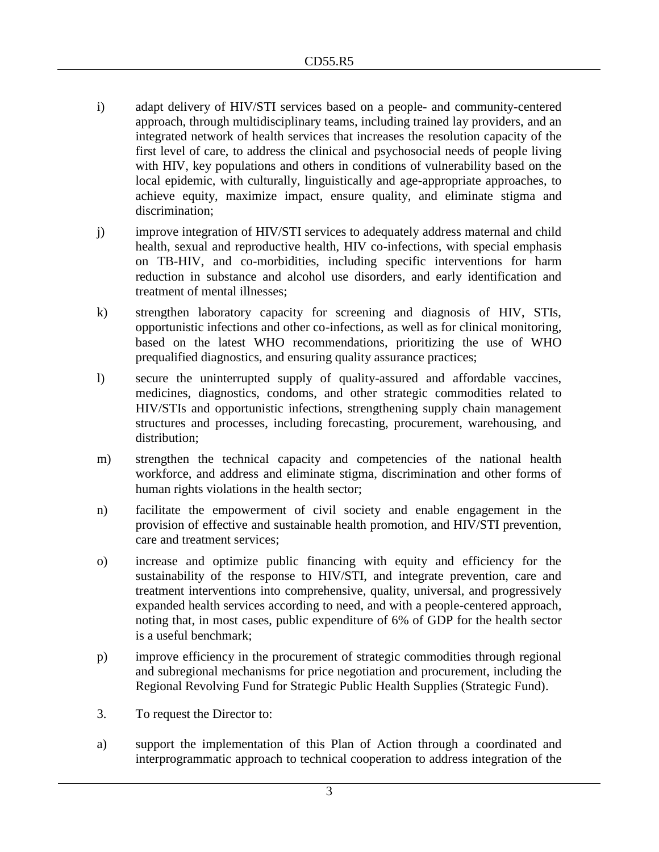- i) adapt delivery of HIV/STI services based on a people- and community-centered approach, through multidisciplinary teams, including trained lay providers, and an integrated network of health services that increases the resolution capacity of the first level of care, to address the clinical and psychosocial needs of people living with HIV, key populations and others in conditions of vulnerability based on the local epidemic, with culturally, linguistically and age-appropriate approaches, to achieve equity, maximize impact, ensure quality, and eliminate stigma and discrimination;
- j) improve integration of HIV/STI services to adequately address maternal and child health, sexual and reproductive health, HIV co-infections, with special emphasis on TB-HIV, and co-morbidities, including specific interventions for harm reduction in substance and alcohol use disorders, and early identification and treatment of mental illnesses;
- k) strengthen laboratory capacity for screening and diagnosis of HIV, STIs, opportunistic infections and other co-infections, as well as for clinical monitoring, based on the latest WHO recommendations, prioritizing the use of WHO prequalified diagnostics, and ensuring quality assurance practices;
- l) secure the uninterrupted supply of quality-assured and affordable vaccines, medicines, diagnostics, condoms, and other strategic commodities related to HIV/STIs and opportunistic infections, strengthening supply chain management structures and processes, including forecasting, procurement, warehousing, and distribution;
- m) strengthen the technical capacity and competencies of the national health workforce, and address and eliminate stigma, discrimination and other forms of human rights violations in the health sector;
- n) facilitate the empowerment of civil society and enable engagement in the provision of effective and sustainable health promotion, and HIV/STI prevention, care and treatment services;
- o) increase and optimize public financing with equity and efficiency for the sustainability of the response to HIV/STI, and integrate prevention, care and treatment interventions into comprehensive, quality, universal, and progressively expanded health services according to need, and with a people-centered approach, noting that, in most cases, public expenditure of 6% of GDP for the health sector is a useful benchmark;
- p) improve efficiency in the procurement of strategic commodities through regional and subregional mechanisms for price negotiation and procurement, including the Regional Revolving Fund for Strategic Public Health Supplies (Strategic Fund).
- 3. To request the Director to:
- a) support the implementation of this Plan of Action through a coordinated and interprogrammatic approach to technical cooperation to address integration of the